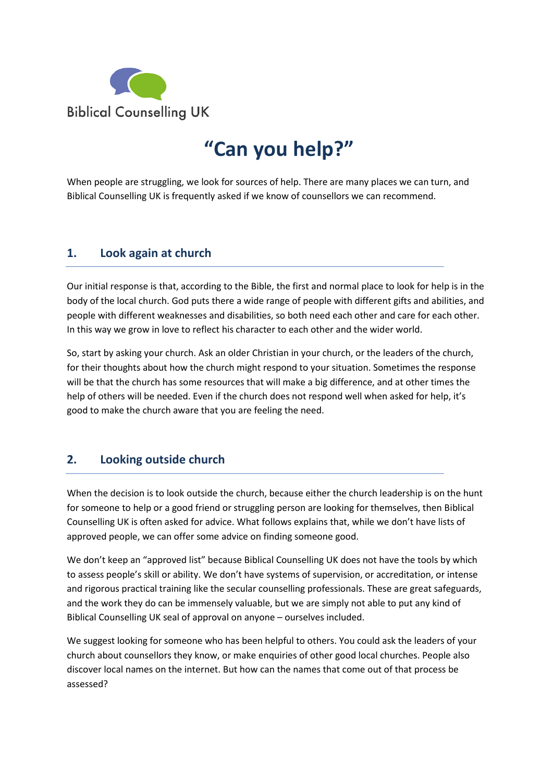

## **"Can you help?"**

When people are struggling, we look for sources of help. There are many places we can turn, and Biblical Counselling UK is frequently asked if we know of counsellors we can recommend.

## **1. Look again at church**

Our initial response is that, according to the Bible, the first and normal place to look for help is in the body of the local church. God puts there a wide range of people with different gifts and abilities, and people with different weaknesses and disabilities, so both need each other and care for each other. In this way we grow in love to reflect his character to each other and the wider world.

So, start by asking your church. Ask an older Christian in your church, or the leaders of the church, for their thoughts about how the church might respond to your situation. Sometimes the response will be that the church has some resources that will make a big difference, and at other times the help of others will be needed. Even if the church does not respond well when asked for help, it's good to make the church aware that you are feeling the need.

## **2. Looking outside church**

When the decision is to look outside the church, because either the church leadership is on the hunt for someone to help or a good friend or struggling person are looking for themselves, then Biblical Counselling UK is often asked for advice. What follows explains that, while we don't have lists of approved people, we can offer some advice on finding someone good.

We don't keep an "approved list" because Biblical Counselling UK does not have the tools by which to assess people's skill or ability. We don't have systems of supervision, or accreditation, or intense and rigorous practical training like the secular counselling professionals. These are great safeguards, and the work they do can be immensely valuable, but we are simply not able to put any kind of Biblical Counselling UK seal of approval on anyone – ourselves included.

We suggest looking for someone who has been helpful to others. You could ask the leaders of your church about counsellors they know, or make enquiries of other good local churches. People also discover local names on the internet. But how can the names that come out of that process be assessed?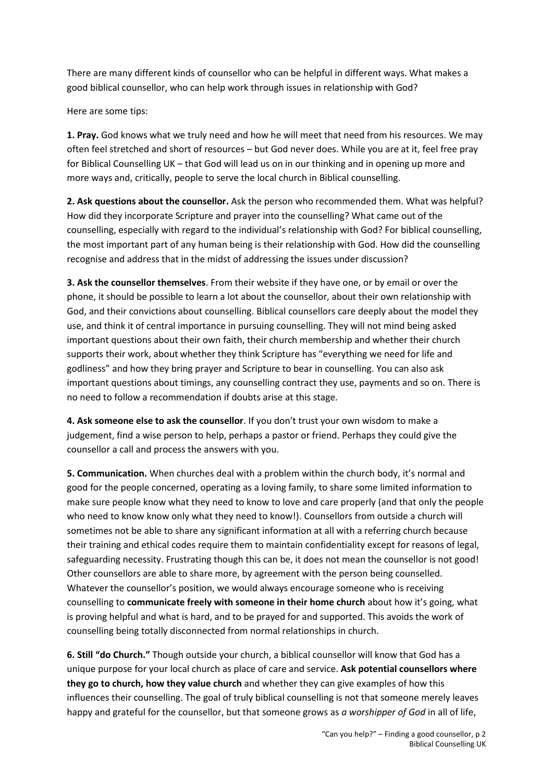There are many different kinds of counsellor who can be helpful in different ways. What makes a good biblical counsellor, who can help work through issues in relationship with God?

Here are some tips:

**1. Pray.** God knows what we truly need and how he will meet that need from his resources. We may often feel stretched and short of resources – but God never does. While you are at it, feel free pray for Biblical Counselling UK – that God will lead us on in our thinking and in opening up more and more ways and, critically, people to serve the local church in Biblical counselling.

**2. Ask questions about the counsellor.** Ask the person who recommended them. What was helpful? How did they incorporate Scripture and prayer into the counselling? What came out of the counselling, especially with regard to the individual's relationship with God? For biblical counselling, the most important part of any human being is their relationship with God. How did the counselling recognise and address that in the midst of addressing the issues under discussion?

**3. Ask the counsellor themselves**. From their website if they have one, or by email or over the phone, it should be possible to learn a lot about the counsellor, about their own relationship with God, and their convictions about counselling. Biblical counsellors care deeply about the model they use, and think it of central importance in pursuing counselling. They will not mind being asked important questions about their own faith, their church membership and whether their church supports their work, about whether they think Scripture has "everything we need for life and godliness" and how they bring prayer and Scripture to bear in counselling. You can also ask important questions about timings, any counselling contract they use, payments and so on. There is no need to follow a recommendation if doubts arise at this stage.

**4. Ask someone else to ask the counsellor**. If you don't trust your own wisdom to make a judgement, find a wise person to help, perhaps a pastor or friend. Perhaps they could give the counsellor a call and process the answers with you.

**5. Communication.** When churches deal with a problem within the church body, it's normal and good for the people concerned, operating as a loving family, to share some limited information to make sure people know what they need to know to love and care properly (and that only the people who need to know know only what they need to know!). Counsellors from outside a church will sometimes not be able to share any significant information at all with a referring church because their training and ethical codes require them to maintain confidentiality except for reasons of legal, safeguarding necessity. Frustrating though this can be, it does not mean the counsellor is not good! Other counsellors are able to share more, by agreement with the person being counselled. Whatever the counsellor's position, we would always encourage someone who is receiving counselling to **communicate freely with someone in their home church** about how it's going, what is proving helpful and what is hard, and to be prayed for and supported. This avoids the work of counselling being totally disconnected from normal relationships in church.

**6. Still "do Church."** Though outside your church, a biblical counsellor will know that God has a unique purpose for your local church as place of care and service. **Ask potential counsellors where they go to church, how they value church** and whether they can give examples of how this influences their counselling. The goal of truly biblical counselling is not that someone merely leaves happy and grateful for the counsellor, but that someone grows as *a worshipper of God* in all of life,